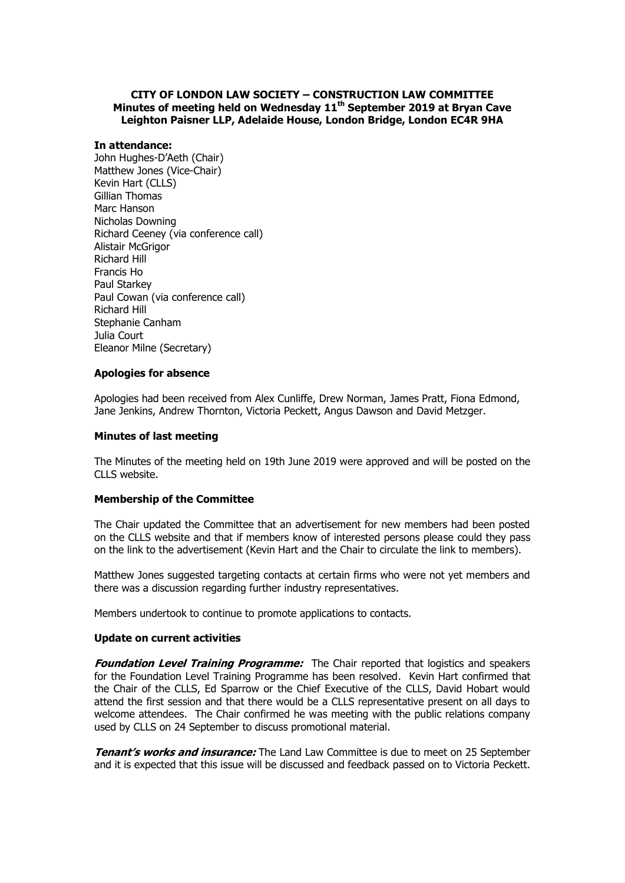# **CITY OF LONDON LAW SOCIETY – CONSTRUCTION LAW COMMITTEE Minutes of meeting held on Wednesday 11 th September 2019 at Bryan Cave Leighton Paisner LLP, Adelaide House, London Bridge, London EC4R 9HA**

### **In attendance:**

John Hughes-D'Aeth (Chair) Matthew Jones (Vice-Chair) Kevin Hart (CLLS) Gillian Thomas Marc Hanson Nicholas Downing Richard Ceeney (via conference call) Alistair McGrigor Richard Hill Francis Ho Paul Starkey Paul Cowan (via conference call) Richard Hill Stephanie Canham Julia Court Eleanor Milne (Secretary)

# **Apologies for absence**

Apologies had been received from Alex Cunliffe, Drew Norman, James Pratt, Fiona Edmond, Jane Jenkins, Andrew Thornton, Victoria Peckett, Angus Dawson and David Metzger.

## **Minutes of last meeting**

The Minutes of the meeting held on 19th June 2019 were approved and will be posted on the CLLS website.

## **Membership of the Committee**

The Chair updated the Committee that an advertisement for new members had been posted on the CLLS website and that if members know of interested persons please could they pass on the link to the advertisement (Kevin Hart and the Chair to circulate the link to members).

Matthew Jones suggested targeting contacts at certain firms who were not yet members and there was a discussion regarding further industry representatives.

Members undertook to continue to promote applications to contacts.

### **Update on current activities**

**Foundation Level Training Programme:** The Chair reported that logistics and speakers for the Foundation Level Training Programme has been resolved. Kevin Hart confirmed that the Chair of the CLLS, Ed Sparrow or the Chief Executive of the CLLS, David Hobart would attend the first session and that there would be a CLLS representative present on all days to welcome attendees. The Chair confirmed he was meeting with the public relations company used by CLLS on 24 September to discuss promotional material.

**Tenant's works and insurance:** The Land Law Committee is due to meet on 25 September and it is expected that this issue will be discussed and feedback passed on to Victoria Peckett.